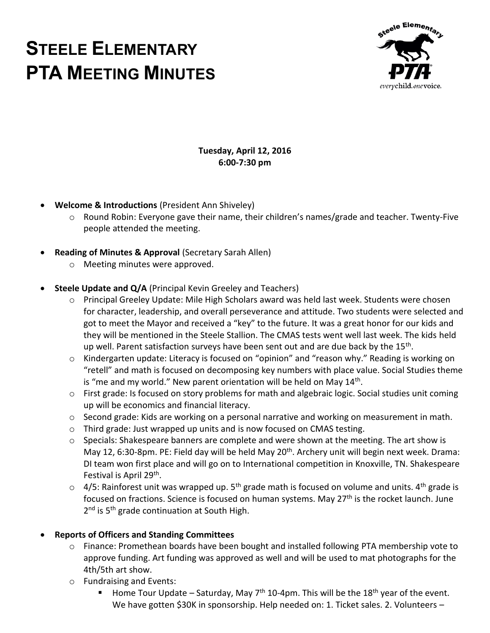# **STEELE ELEMENTARY PTA MEETING MINUTES**



## **Tuesday, April 12, 2016 6:00-7:30 pm**

- **Welcome & Introductions** (President Ann Shiveley)
	- $\circ$  Round Robin: Everyone gave their name, their children's names/grade and teacher. Twenty-Five people attended the meeting.
- **Reading of Minutes & Approval** (Secretary Sarah Allen)
	- o Meeting minutes were approved.
- **Steele Update and Q/A** (Principal Kevin Greeley and Teachers)
	- o Principal Greeley Update: Mile High Scholars award was held last week. Students were chosen for character, leadership, and overall perseverance and attitude. Two students were selected and got to meet the Mayor and received a "key" to the future. It was a great honor for our kids and they will be mentioned in the Steele Stallion. The CMAS tests went well last week. The kids held up well. Parent satisfaction surveys have been sent out and are due back by the 15<sup>th</sup>.
	- o Kindergarten update: Literacy is focused on "opinion" and "reason why." Reading is working on "retell" and math is focused on decomposing key numbers with place value. Social Studies theme is "me and my world." New parent orientation will be held on May 14<sup>th</sup>.
	- $\circ$  First grade: Is focused on story problems for math and algebraic logic. Social studies unit coming up will be economics and financial literacy.
	- o Second grade: Kids are working on a personal narrative and working on measurement in math.
	- o Third grade: Just wrapped up units and is now focused on CMAS testing.
	- $\circ$  Specials: Shakespeare banners are complete and were shown at the meeting. The art show is May 12, 6:30-8pm. PE: Field day will be held May  $20<sup>th</sup>$ . Archery unit will begin next week. Drama: DI team won first place and will go on to International competition in Knoxville, TN. Shakespeare Festival is April 29<sup>th</sup>.
	- $\circ$  4/5: Rainforest unit was wrapped up. 5<sup>th</sup> grade math is focused on volume and units. 4<sup>th</sup> grade is focused on fractions. Science is focused on human systems. May 27<sup>th</sup> is the rocket launch. June 2<sup>nd</sup> is 5<sup>th</sup> grade continuation at South High.

#### **Reports of Officers and Standing Committees**

- o Finance: Promethean boards have been bought and installed following PTA membership vote to approve funding. Art funding was approved as well and will be used to mat photographs for the 4th/5th art show.
- o Fundraising and Events:
	- Home Tour Update Saturday, May  $7<sup>th</sup>$  10-4pm. This will be the 18<sup>th</sup> year of the event. We have gotten \$30K in sponsorship. Help needed on: 1. Ticket sales. 2. Volunteers -